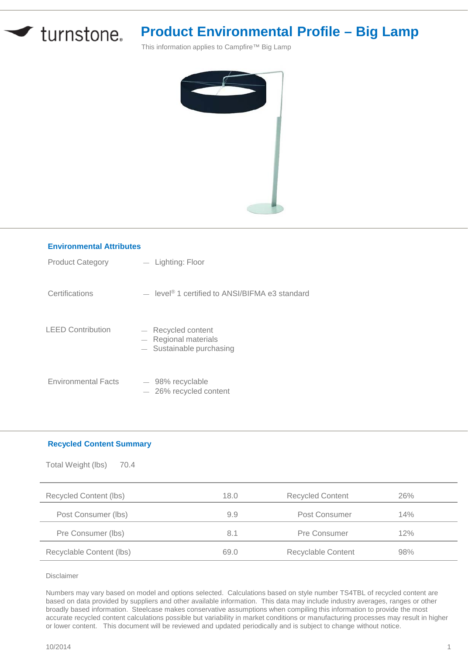

## **Product Environmental Profile – Big Lamp**

This information applies to Campfire™ Big Lamp



| <b>Environmental Attributes</b> |                                                                            |  |  |  |
|---------------------------------|----------------------------------------------------------------------------|--|--|--|
| <b>Product Category</b>         | - Lighting: Floor                                                          |  |  |  |
| Certifications                  | $\mu$ level <sup>®</sup> 1 certified to ANSI/BIFMA e3 standard             |  |  |  |
| <b>LEED Contribution</b>        | - Recycled content<br>$-$ Regional materials<br>$-$ Sustainable purchasing |  |  |  |
| <b>Environmental Facts</b>      | $-98\%$ recyclable<br>$-$ 26% recycled content                             |  |  |  |

## **Recycled Content Summary**

| Total Weight (lbs)<br>70.4 |      |                         |     |
|----------------------------|------|-------------------------|-----|
| Recycled Content (lbs)     | 18.0 | <b>Recycled Content</b> | 26% |
| Post Consumer (lbs)        | 9.9  | Post Consumer           | 14% |
| Pre Consumer (lbs)         | 8.1  | Pre Consumer            | 12% |
| Recyclable Content (lbs)   | 69.0 | Recyclable Content      | 98% |

Disclaimer

Numbers may vary based on model and options selected. Calculations based on style number TS4TBL of recycled content are based on data provided by suppliers and other available information. This data may include industry averages, ranges or other broadly based information. Steelcase makes conservative assumptions when compiling this information to provide the most accurate recycled content calculations possible but variability in market conditions or manufacturing processes may result in higher or lower content. This document will be reviewed and updated periodically and is subject to change without notice.